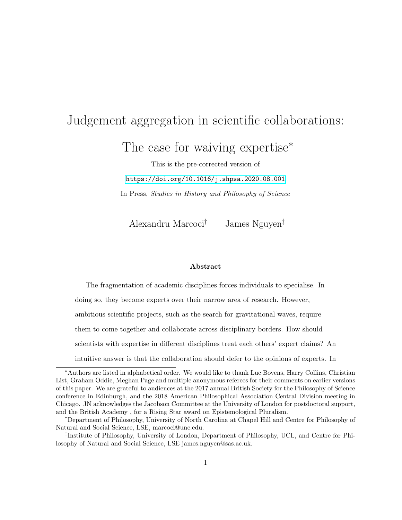## Judgement aggregation in scientific collaborations:

The case for waiving expertise<sup>\*</sup>

This is the pre-corrected version of <https://doi.org/10.1016/j.shpsa.2020.08.001> In Press, Studies in History and Philosophy of Science

Alexandru Marcoci† James Nguyen‡

#### Abstract

The fragmentation of academic disciplines forces individuals to specialise. In doing so, they become experts over their narrow area of research. However, ambitious scientific projects, such as the search for gravitational waves, require them to come together and collaborate across disciplinary borders. How should scientists with expertise in different disciplines treat each others' expert claims? An intuitive answer is that the collaboration should defer to the opinions of experts. In

<sup>∗</sup>Authors are listed in alphabetical order. We would like to thank Luc Bovens, Harry Collins, Christian List, Graham Oddie, Meghan Page and multiple anonymous referees for their comments on earlier versions of this paper. We are grateful to audiences at the 2017 annual British Society for the Philosophy of Science conference in Edinburgh, and the 2018 American Philosophical Association Central Division meeting in Chicago. JN acknowledges the Jacobson Committee at the University of London for postdoctoral support, and the British Academy , for a Rising Star award on Epistemological Pluralism.

<sup>†</sup>Department of Philosophy, University of North Carolina at Chapel Hill and Centre for Philosophy of Natural and Social Science, LSE, marcoci@unc.edu.

<sup>‡</sup> Institute of Philosophy, University of London, Department of Philosophy, UCL, and Centre for Philosophy of Natural and Social Science, LSE james.nguyen@sas.ac.uk.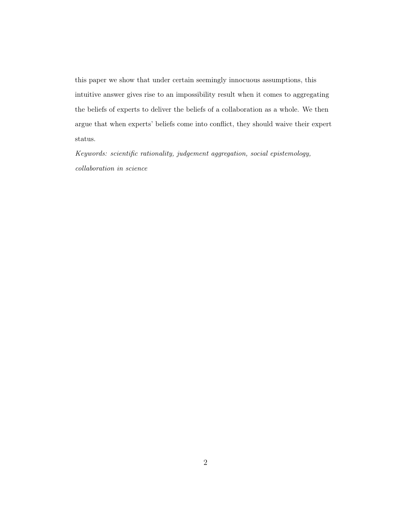this paper we show that under certain seemingly innocuous assumptions, this intuitive answer gives rise to an impossibility result when it comes to aggregating the beliefs of experts to deliver the beliefs of a collaboration as a whole. We then argue that when experts' beliefs come into conflict, they should waive their expert status.

Keywords: scientific rationality, judgement aggregation, social epistemology, collaboration in science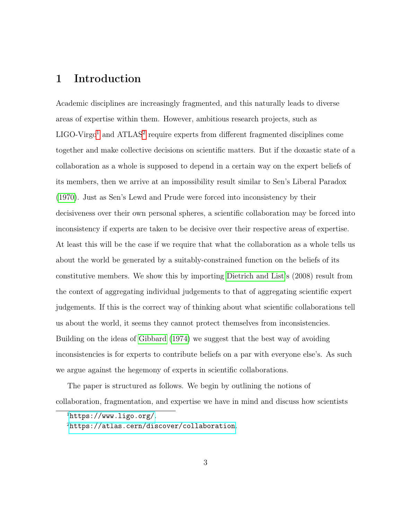## 1 Introduction

Academic disciplines are increasingly fragmented, and this naturally leads to diverse areas of expertise within them. However, ambitious research projects, such as  $LIGO-Virgo<sup>1</sup>$  $LIGO-Virgo<sup>1</sup>$  $LIGO-Virgo<sup>1</sup>$  and  $ATLAS<sup>2</sup>$  $ATLAS<sup>2</sup>$  $ATLAS<sup>2</sup>$  require experts from different fragmented disciplines come together and make collective decisions on scientific matters. But if the doxastic state of a collaboration as a whole is supposed to depend in a certain way on the expert beliefs of its members, then we arrive at an impossibility result similar to Sen's Liberal Paradox [\(1970\)](#page-40-0). Just as Sen's Lewd and Prude were forced into inconsistency by their decisiveness over their own personal spheres, a scientific collaboration may be forced into inconsistency if experts are taken to be decisive over their respective areas of expertise. At least this will be the case if we require that what the collaboration as a whole tells us about the world be generated by a suitably-constrained function on the beliefs of its constitutive members. We show this by importing [Dietrich and List'](#page-37-0)s (2008) result from the context of aggregating individual judgements to that of aggregating scientific expert judgements. If this is the correct way of thinking about what scientific collaborations tell us about the world, it seems they cannot protect themselves from inconsistencies. Building on the ideas of [Gibbard](#page-37-1) [\(1974\)](#page-37-1) we suggest that the best way of avoiding inconsistencies is for experts to contribute beliefs on a par with everyone else's. As such we argue against the hegemony of experts in scientific collaborations.

The paper is structured as follows. We begin by outlining the notions of collaboration, fragmentation, and expertise we have in mind and discuss how scientists

<span id="page-2-1"></span><span id="page-2-0"></span> $<sup>1</sup>$ <https://www.ligo.org/>.</sup>

<sup>2</sup><https://atlas.cern/discover/collaboration>.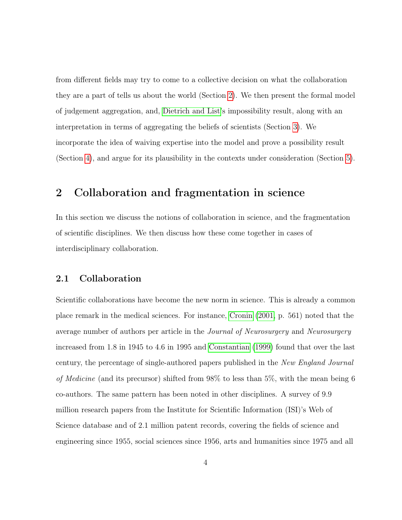from different fields may try to come to a collective decision on what the collaboration they are a part of tells us about the world (Section [2\)](#page-3-0). We then present the formal model of judgement aggregation, and, [Dietrich and List'](#page-37-0)s impossibility result, along with an interpretation in terms of aggregating the beliefs of scientists (Section [3\)](#page-11-0). We incorporate the idea of waiving expertise into the model and prove a possibility result (Section [4\)](#page-20-0), and argue for its plausibility in the contexts under consideration (Section [5\)](#page-28-0).

## <span id="page-3-0"></span>2 Collaboration and fragmentation in science

In this section we discuss the notions of collaboration in science, and the fragmentation of scientific disciplines. We then discuss how these come together in cases of interdisciplinary collaboration.

#### 2.1 Collaboration

Scientific collaborations have become the new norm in science. This is already a common place remark in the medical sciences. For instance, [Cronin](#page-36-0) [\(2001,](#page-36-0) p. 561) noted that the average number of authors per article in the Journal of Neurosurgery and Neurosurgery increased from 1.8 in 1945 to 4.6 in 1995 and [Constantian](#page-36-1) [\(1999\)](#page-36-1) found that over the last century, the percentage of single-authored papers published in the New England Journal of Medicine (and its precursor) shifted from 98% to less than 5%, with the mean being 6 co-authors. The same pattern has been noted in other disciplines. A survey of 9.9 million research papers from the Institute for Scientific Information (ISI)'s Web of Science database and of 2.1 million patent records, covering the fields of science and engineering since 1955, social sciences since 1956, arts and humanities since 1975 and all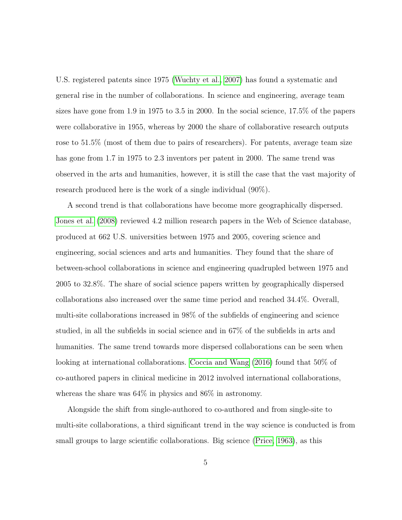U.S. registered patents since 1975 [\(Wuchty et al., 2007\)](#page-40-1) has found a systematic and general rise in the number of collaborations. In science and engineering, average team sizes have gone from 1.9 in 1975 to 3.5 in 2000. In the social science, 17.5% of the papers were collaborative in 1955, whereas by 2000 the share of collaborative research outputs rose to 51.5% (most of them due to pairs of researchers). For patents, average team size has gone from 1.7 in 1975 to 2.3 inventors per patent in 2000. The same trend was observed in the arts and humanities, however, it is still the case that the vast majority of research produced here is the work of a single individual (90%).

A second trend is that collaborations have become more geographically dispersed. [Jones et al.](#page-38-0) [\(2008\)](#page-38-0) reviewed 4.2 million research papers in the Web of Science database, produced at 662 U.S. universities between 1975 and 2005, covering science and engineering, social sciences and arts and humanities. They found that the share of between-school collaborations in science and engineering quadrupled between 1975 and 2005 to 32.8%. The share of social science papers written by geographically dispersed collaborations also increased over the same time period and reached 34.4%. Overall, multi-site collaborations increased in 98% of the subfields of engineering and science studied, in all the subfields in social science and in 67% of the subfields in arts and humanities. The same trend towards more dispersed collaborations can be seen when looking at international collaborations. [Coccia and Wang](#page-36-2) [\(2016\)](#page-36-2) found that 50% of co-authored papers in clinical medicine in 2012 involved international collaborations, whereas the share was 64% in physics and 86% in astronomy.

Alongside the shift from single-authored to co-authored and from single-site to multi-site collaborations, a third significant trend in the way science is conducted is from small groups to large scientific collaborations. Big science [\(Price, 1963\)](#page-39-0), as this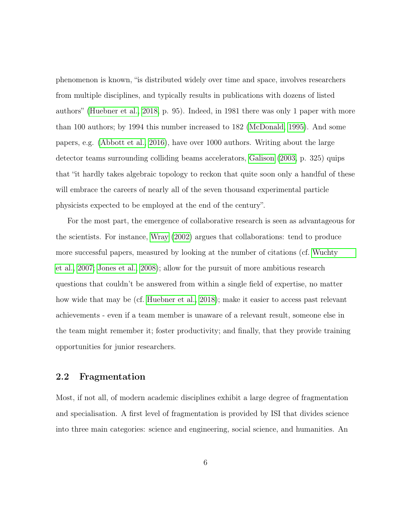phenomenon is known, "is distributed widely over time and space, involves researchers from multiple disciplines, and typically results in publications with dozens of listed authors" [\(Huebner et al., 2018,](#page-38-1) p. 95). Indeed, in 1981 there was only 1 paper with more than 100 authors; by 1994 this number increased to 182 [\(McDonald, 1995\)](#page-39-1). And some papers, e.g. [\(Abbott et al., 2016\)](#page-35-0), have over 1000 authors. Writing about the large detector teams surrounding colliding beams accelerators, [Galison](#page-37-2) [\(2003,](#page-37-2) p. 325) quips that "it hardly takes algebraic topology to reckon that quite soon only a handful of these will embrace the careers of nearly all of the seven thousand experimental particle physicists expected to be employed at the end of the century".

For the most part, the emergence of collaborative research is seen as advantageous for the scientists. For instance, [Wray](#page-40-2) [\(2002\)](#page-40-2) argues that collaborations: tend to produce more successful papers, measured by looking at the number of citations (cf. [Wuchty](#page-40-1) [et al., 2007;](#page-40-1) [Jones et al., 2008\)](#page-38-0); allow for the pursuit of more ambitious research questions that couldn't be answered from within a single field of expertise, no matter how wide that may be (cf. [Huebner et al., 2018\)](#page-38-1); make it easier to access past relevant achievements - even if a team member is unaware of a relevant result, someone else in the team might remember it; foster productivity; and finally, that they provide training opportunities for junior researchers.

#### 2.2 Fragmentation

Most, if not all, of modern academic disciplines exhibit a large degree of fragmentation and specialisation. A first level of fragmentation is provided by ISI that divides science into three main categories: science and engineering, social science, and humanities. An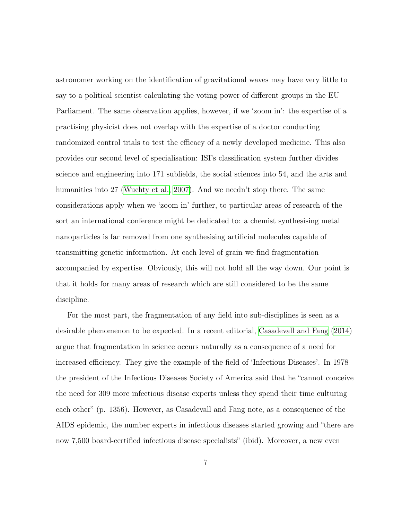astronomer working on the identification of gravitational waves may have very little to say to a political scientist calculating the voting power of different groups in the EU Parliament. The same observation applies, however, if we 'zoom in': the expertise of a practising physicist does not overlap with the expertise of a doctor conducting randomized control trials to test the efficacy of a newly developed medicine. This also provides our second level of specialisation: ISI's classification system further divides science and engineering into 171 subfields, the social sciences into 54, and the arts and humanities into 27 [\(Wuchty et al., 2007\)](#page-40-1). And we needn't stop there. The same considerations apply when we 'zoom in' further, to particular areas of research of the sort an international conference might be dedicated to: a chemist synthesising metal nanoparticles is far removed from one synthesising artificial molecules capable of transmitting genetic information. At each level of grain we find fragmentation accompanied by expertise. Obviously, this will not hold all the way down. Our point is that it holds for many areas of research which are still considered to be the same discipline.

For the most part, the fragmentation of any field into sub-disciplines is seen as a desirable phenomenon to be expected. In a recent editorial, [Casadevall and Fang](#page-36-3) [\(2014\)](#page-36-3) argue that fragmentation in science occurs naturally as a consequence of a need for increased efficiency. They give the example of the field of 'Infectious Diseases'. In 1978 the president of the Infectious Diseases Society of America said that he "cannot conceive the need for 309 more infectious disease experts unless they spend their time culturing each other" (p. 1356). However, as Casadevall and Fang note, as a consequence of the AIDS epidemic, the number experts in infectious diseases started growing and "there are now 7,500 board-certified infectious disease specialists" (ibid). Moreover, a new even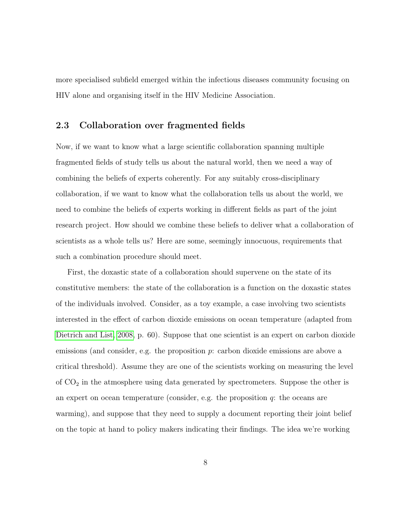more specialised subfield emerged within the infectious diseases community focusing on HIV alone and organising itself in the HIV Medicine Association.

#### 2.3 Collaboration over fragmented fields

Now, if we want to know what a large scientific collaboration spanning multiple fragmented fields of study tells us about the natural world, then we need a way of combining the beliefs of experts coherently. For any suitably cross-disciplinary collaboration, if we want to know what the collaboration tells us about the world, we need to combine the beliefs of experts working in different fields as part of the joint research project. How should we combine these beliefs to deliver what a collaboration of scientists as a whole tells us? Here are some, seemingly innocuous, requirements that such a combination procedure should meet.

First, the doxastic state of a collaboration should supervene on the state of its constitutive members: the state of the collaboration is a function on the doxastic states of the individuals involved. Consider, as a toy example, a case involving two scientists interested in the effect of carbon dioxide emissions on ocean temperature (adapted from [Dietrich and List, 2008,](#page-37-0) p. 60). Suppose that one scientist is an expert on carbon dioxide emissions (and consider, e.g. the proposition p: carbon dioxide emissions are above a critical threshold). Assume they are one of the scientists working on measuring the level of  $CO<sub>2</sub>$  in the atmosphere using data generated by spectrometers. Suppose the other is an expert on ocean temperature (consider, e.g. the proposition  $q$ : the oceans are warming), and suppose that they need to supply a document reporting their joint belief on the topic at hand to policy makers indicating their findings. The idea we're working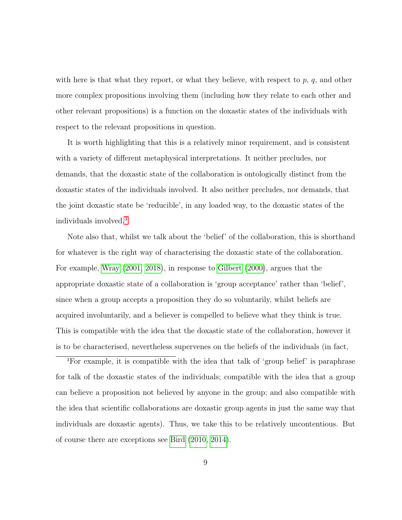with here is that what they report, or what they believe, with respect to  $p, q$ , and other more complex propositions involving them (including how they relate to each other and other relevant propositions) is a function on the doxastic states of the individuals with respect to the relevant propositions in question.

It is worth highlighting that this is a relatively minor requirement, and is consistent with a variety of different metaphysical interpretations. It neither precludes, nor demands, that the doxastic state of the collaboration is ontologically distinct from the doxastic states of the individuals involved. It also neither precludes, nor demands, that the joint doxastic state be 'reducible', in any loaded way, to the doxastic states of the individuals involved.[3](#page-8-0)

Note also that, whilst we talk about the 'belief' of the collaboration, this is shorthand for whatever is the right way of characterising the doxastic state of the collaboration. For example, [Wray](#page-40-3) [\(2001,](#page-40-3) [2018\)](#page-40-4), in response to [Gilbert](#page-37-3) [\(2000\)](#page-37-3), argues that the appropriate doxastic state of a collaboration is 'group acceptance' rather than 'belief', since when a group accepts a proposition they do so voluntarily, whilst beliefs are acquired involuntarily, and a believer is compelled to believe what they think is true. This is compatible with the idea that the doxastic state of the collaboration, however it is to be characterised, nevertheless supervenes on the beliefs of the individuals (in fact,

<span id="page-8-0"></span><sup>3</sup>For example, it is compatible with the idea that talk of 'group belief' is paraphrase for talk of the doxastic states of the individuals; compatible with the idea that a group can believe a proposition not believed by anyone in the group; and also compatible with the idea that scientific collaborations are doxastic group agents in just the same way that individuals are doxastic agents). Thus, we take this to be relatively uncontentious. But of course there are exceptions see [Bird](#page-35-1) [\(2010,](#page-35-1) [2014\)](#page-35-2).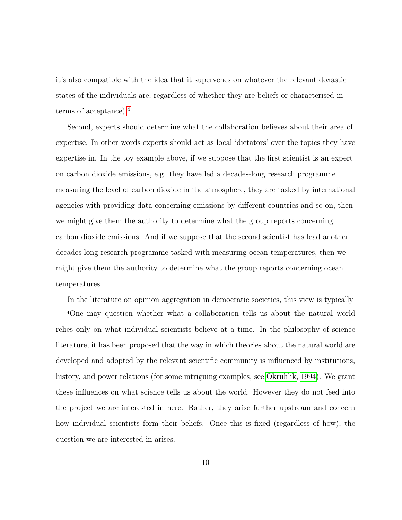it's also compatible with the idea that it supervenes on whatever the relevant doxastic states of the individuals are, regardless of whether they are beliefs or characterised in terms of acceptance).[4](#page-9-0)

Second, experts should determine what the collaboration believes about their area of expertise. In other words experts should act as local 'dictators' over the topics they have expertise in. In the toy example above, if we suppose that the first scientist is an expert on carbon dioxide emissions, e.g. they have led a decades-long research programme measuring the level of carbon dioxide in the atmosphere, they are tasked by international agencies with providing data concerning emissions by different countries and so on, then we might give them the authority to determine what the group reports concerning carbon dioxide emissions. And if we suppose that the second scientist has lead another decades-long research programme tasked with measuring ocean temperatures, then we might give them the authority to determine what the group reports concerning ocean temperatures.

<span id="page-9-0"></span>In the literature on opinion aggregation in democratic societies, this view is typically

<sup>4</sup>One may question whether what a collaboration tells us about the natural world relies only on what individual scientists believe at a time. In the philosophy of science literature, it has been proposed that the way in which theories about the natural world are developed and adopted by the relevant scientific community is influenced by institutions, history, and power relations (for some intriguing examples, see [Okruhlik, 1994\)](#page-39-2). We grant these influences on what science tells us about the world. However they do not feed into the project we are interested in here. Rather, they arise further upstream and concern how individual scientists form their beliefs. Once this is fixed (regardless of how), the question we are interested in arises.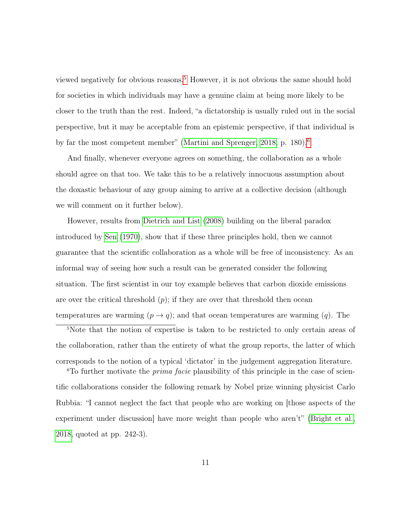viewed negatively for obvious reasons.[5](#page-10-0) However, it is not obvious the same should hold for societies in which individuals may have a genuine claim at being more likely to be closer to the truth than the rest. Indeed, "a dictatorship is usually ruled out in the social perspective, but it may be acceptable from an epistemic perspective, if that individual is by far the most competent member" [\(Martini and Sprenger, 2018,](#page-39-3) p. 180).[6](#page-10-1)

And finally, whenever everyone agrees on something, the collaboration as a whole should agree on that too. We take this to be a relatively innocuous assumption about the doxastic behaviour of any group aiming to arrive at a collective decision (although we will comment on it further below).

However, results from [Dietrich and List](#page-37-0) [\(2008\)](#page-37-0) building on the liberal paradox introduced by [Sen](#page-40-0) [\(1970\)](#page-40-0), show that if these three principles hold, then we cannot guarantee that the scientific collaboration as a whole will be free of inconsistency. As an informal way of seeing how such a result can be generated consider the following situation. The first scientist in our toy example believes that carbon dioxide emissions are over the critical threshold  $(p)$ ; if they are over that threshold then ocean temperatures are warming  $(p \to q)$ ; and that ocean temperatures are warming  $(q)$ . The

<span id="page-10-0"></span><sup>5</sup>Note that the notion of expertise is taken to be restricted to only certain areas of the collaboration, rather than the entirety of what the group reports, the latter of which corresponds to the notion of a typical 'dictator' in the judgement aggregation literature.

<span id="page-10-1"></span><sup>6</sup>To further motivate the *prima facie* plausibility of this principle in the case of scientific collaborations consider the following remark by Nobel prize winning physicist Carlo Rubbia: "I cannot neglect the fact that people who are working on [those aspects of the experiment under discussion] have more weight than people who aren't" [\(Bright et al.,](#page-35-3) [2018,](#page-35-3) quoted at pp. 242-3).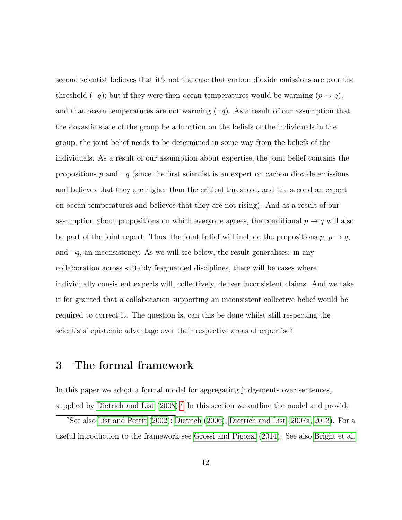second scientist believes that it's not the case that carbon dioxide emissions are over the threshold  $(\neg q)$ ; but if they were then ocean temperatures would be warming  $(p \rightarrow q)$ ; and that ocean temperatures are not warming  $(\neg q)$ . As a result of our assumption that the doxastic state of the group be a function on the beliefs of the individuals in the group, the joint belief needs to be determined in some way from the beliefs of the individuals. As a result of our assumption about expertise, the joint belief contains the propositions p and  $\neg q$  (since the first scientist is an expert on carbon dioxide emissions and believes that they are higher than the critical threshold, and the second an expert on ocean temperatures and believes that they are not rising). And as a result of our assumption about propositions on which everyone agrees, the conditional  $p \to q$  will also be part of the joint report. Thus, the joint belief will include the propositions  $p, p \rightarrow q$ , and  $\neg q$ , an inconsistency. As we will see below, the result generalises: in any collaboration across suitably fragmented disciplines, there will be cases where individually consistent experts will, collectively, deliver inconsistent claims. And we take it for granted that a collaboration supporting an inconsistent collective belief would be required to correct it. The question is, can this be done whilst still respecting the scientists' epistemic advantage over their respective areas of expertise?

## <span id="page-11-0"></span>3 The formal framework

In this paper we adopt a formal model for aggregating judgements over sentences, supplied by [Dietrich and List](#page-37-0)  $(2008).$  $(2008).$ <sup>[7](#page-11-1)</sup> In this section we outline the model and provide

<span id="page-11-1"></span><sup>7</sup>See also [List and Pettit](#page-39-4) [\(2002\)](#page-39-4); [Dietrich](#page-36-4) [\(2006\)](#page-36-4); [Dietrich and List](#page-36-5) [\(2007a,](#page-36-5) [2013\)](#page-37-4). For a useful introduction to the framework see [Grossi and Pigozzi](#page-38-2) [\(2014\)](#page-38-2). See also [Bright et al.](#page-35-3)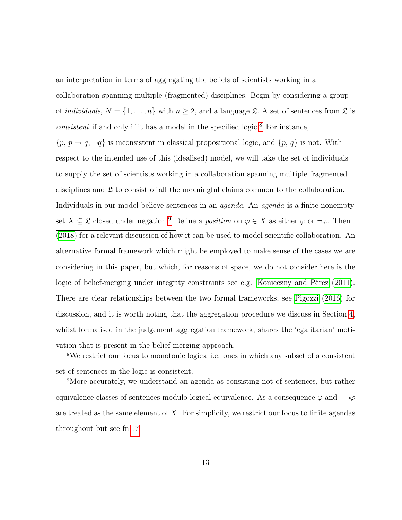an interpretation in terms of aggregating the beliefs of scientists working in a collaboration spanning multiple (fragmented) disciplines. Begin by considering a group of *individuals*,  $N = \{1, ..., n\}$  with  $n \geq 2$ , and a language  $\mathfrak{L}$ . A set of sentences from  $\mathfrak{L}$  is *consistent* if and only if it has a model in the specified logic.<sup>[8](#page-12-0)</sup> For instance,  $\{p, p \rightarrow q, \neg q\}$  is inconsistent in classical propositional logic, and  $\{p, q\}$  is not. With respect to the intended use of this (idealised) model, we will take the set of individuals to supply the set of scientists working in a collaboration spanning multiple fragmented disciplines and  $\mathfrak L$  to consist of all the meaningful claims common to the collaboration. Individuals in our model believe sentences in an *agenda*. An *agenda* is a finite nonempty set  $X \subseteq \mathfrak{L}$  closed under negation.<sup>[9](#page-12-1)</sup> Define a *position* on  $\varphi \in X$  as either  $\varphi$  or  $\neg \varphi$ . Then  $(2018)$  for a relevant discussion of how it can be used to model scientific collaboration. An alternative formal framework which might be employed to make sense of the cases we are considering in this paper, but which, for reasons of space, we do not consider here is the logic of belief-merging under integrity constraints see e.g. [Konieczny and Pérez](#page-38-3) [\(2011\)](#page-38-3). There are clear relationships between the two formal frameworks, see [Pigozzi](#page-39-5) [\(2016\)](#page-39-5) for discussion, and it is worth noting that the aggregation procedure we discuss in Section [4,](#page-20-0) whilst formalised in the judgement aggregation framework, shares the 'egalitarian' motivation that is present in the belief-merging approach.

<span id="page-12-0"></span><sup>8</sup>We restrict our focus to monotonic logics, i.e. ones in which any subset of a consistent set of sentences in the logic is consistent.

<span id="page-12-1"></span><sup>9</sup>More accurately, we understand an agenda as consisting not of sentences, but rather equivalence classes of sentences modulo logical equivalence. As a consequence  $\varphi$  and  $\neg\neg\varphi$ are treated as the same element of  $X$ . For simplicity, we restrict our focus to finite agendas throughout but see fn[.17.](#page-23-0)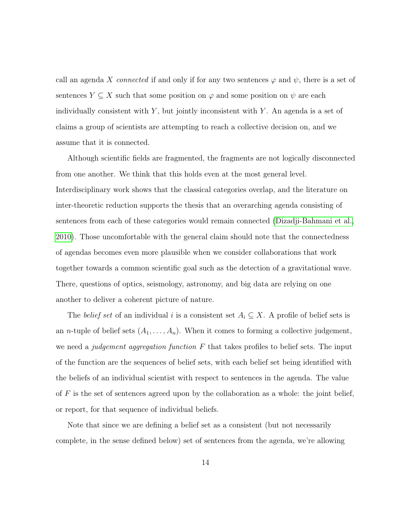call an agenda X connected if and only if for any two sentences  $\varphi$  and  $\psi$ , there is a set of sentences  $Y \subseteq X$  such that some position on  $\varphi$  and some position on  $\psi$  are each individually consistent with  $Y$ , but jointly inconsistent with  $Y$ . An agenda is a set of claims a group of scientists are attempting to reach a collective decision on, and we assume that it is connected.

Although scientific fields are fragmented, the fragments are not logically disconnected from one another. We think that this holds even at the most general level. Interdisciplinary work shows that the classical categories overlap, and the literature on inter-theoretic reduction supports the thesis that an overarching agenda consisting of sentences from each of these categories would remain connected [\(Dizadji-Bahmani et al.,](#page-37-5) [2010\)](#page-37-5). Those uncomfortable with the general claim should note that the connectedness of agendas becomes even more plausible when we consider collaborations that work together towards a common scientific goal such as the detection of a gravitational wave. There, questions of optics, seismology, astronomy, and big data are relying on one another to deliver a coherent picture of nature.

The *belief set* of an individual i is a consistent set  $A_i \subseteq X$ . A profile of belief sets is an *n*-tuple of belief sets  $(A_1, \ldots, A_n)$ . When it comes to forming a collective judgement, we need a *judgement aggregation function*  $F$  that takes profiles to belief sets. The input of the function are the sequences of belief sets, with each belief set being identified with the beliefs of an individual scientist with respect to sentences in the agenda. The value of  $F$  is the set of sentences agreed upon by the collaboration as a whole: the joint belief, or report, for that sequence of individual beliefs.

Note that since we are defining a belief set as a consistent (but not necessarily complete, in the sense defined below) set of sentences from the agenda, we're allowing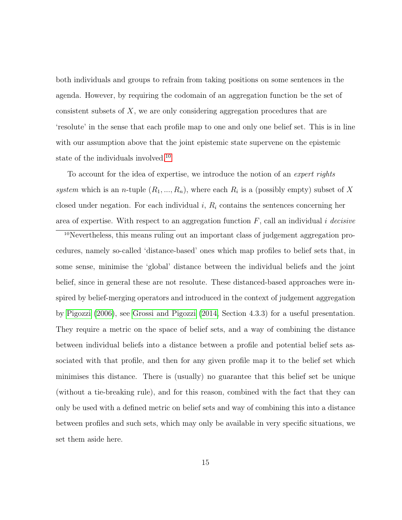both individuals and groups to refrain from taking positions on some sentences in the agenda. However, by requiring the codomain of an aggregation function be the set of consistent subsets of X, we are only considering aggregation procedures that are 'resolute' in the sense that each profile map to one and only one belief set. This is in line with our assumption above that the joint epistemic state supervene on the epistemic state of the individuals involved.<sup>[10](#page-14-0)</sup>

To account for the idea of expertise, we introduce the notion of an expert rights system which is an n-tuple  $(R_1, ..., R_n)$ , where each  $R_i$  is a (possibly empty) subset of X closed under negation. For each individual  $i, R_i$  contains the sentences concerning her area of expertise. With respect to an aggregation function  $F$ , call an individual i decisive

<span id="page-14-0"></span>10Nevertheless, this means ruling out an important class of judgement aggregation procedures, namely so-called 'distance-based' ones which map profiles to belief sets that, in some sense, minimise the 'global' distance between the individual beliefs and the joint belief, since in general these are not resolute. These distanced-based approaches were inspired by belief-merging operators and introduced in the context of judgement aggregation by [Pigozzi](#page-39-6) [\(2006\)](#page-39-6), see [Grossi and Pigozzi](#page-38-2) [\(2014,](#page-38-2) Section 4.3.3) for a useful presentation. They require a metric on the space of belief sets, and a way of combining the distance between individual beliefs into a distance between a profile and potential belief sets associated with that profile, and then for any given profile map it to the belief set which minimises this distance. There is (usually) no guarantee that this belief set be unique (without a tie-breaking rule), and for this reason, combined with the fact that they can only be used with a defined metric on belief sets and way of combining this into a distance between profiles and such sets, which may only be available in very specific situations, we set them aside here.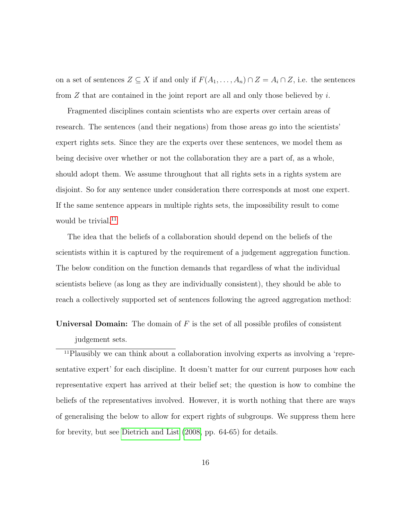on a set of sentences  $Z \subseteq X$  if and only if  $F(A_1, \ldots, A_n) \cap Z = A_i \cap Z$ , i.e. the sentences from  $Z$  that are contained in the joint report are all and only those believed by  $i$ .

Fragmented disciplines contain scientists who are experts over certain areas of research. The sentences (and their negations) from those areas go into the scientists' expert rights sets. Since they are the experts over these sentences, we model them as being decisive over whether or not the collaboration they are a part of, as a whole, should adopt them. We assume throughout that all rights sets in a rights system are disjoint. So for any sentence under consideration there corresponds at most one expert. If the same sentence appears in multiple rights sets, the impossibility result to come would be trivial.<sup>[11](#page-15-0)</sup>

The idea that the beliefs of a collaboration should depend on the beliefs of the scientists within it is captured by the requirement of a judgement aggregation function. The below condition on the function demands that regardless of what the individual scientists believe (as long as they are individually consistent), they should be able to reach a collectively supported set of sentences following the agreed aggregation method:

**Universal Domain:** The domain of  $F$  is the set of all possible profiles of consistent judgement sets.

<span id="page-15-0"></span>11Plausibly we can think about a collaboration involving experts as involving a 'representative expert' for each discipline. It doesn't matter for our current purposes how each representative expert has arrived at their belief set; the question is how to combine the beliefs of the representatives involved. However, it is worth nothing that there are ways of generalising the below to allow for expert rights of subgroups. We suppress them here for brevity, but see [Dietrich and List](#page-37-0) [\(2008,](#page-37-0) pp. 64-65) for details.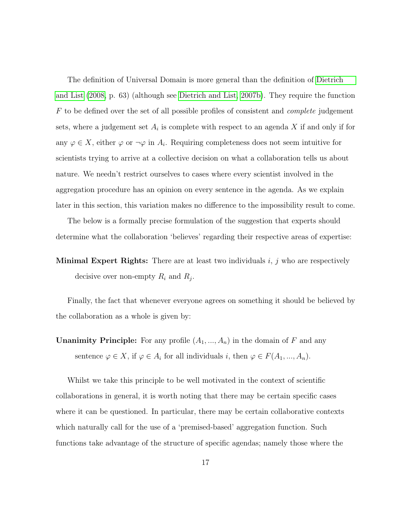The definition of Universal Domain is more general than the definition of [Dietrich](#page-37-0) [and List](#page-37-0) [\(2008,](#page-37-0) p. 63) (although see [Dietrich and List, 2007b\)](#page-36-6). They require the function  $F$  to be defined over the set of all possible profiles of consistent and *complete* judgement sets, where a judgement set  $A_i$  is complete with respect to an agenda X if and only if for any  $\varphi \in X$ , either  $\varphi$  or  $\neg \varphi$  in  $A_i$ . Requiring completeness does not seem intuitive for scientists trying to arrive at a collective decision on what a collaboration tells us about nature. We needn't restrict ourselves to cases where every scientist involved in the aggregation procedure has an opinion on every sentence in the agenda. As we explain later in this section, this variation makes no difference to the impossibility result to come.

The below is a formally precise formulation of the suggestion that experts should determine what the collaboration 'believes' regarding their respective areas of expertise:

**Minimal Expert Rights:** There are at least two individuals  $i, j$  who are respectively decisive over non-empty  $R_i$  and  $R_j$ .

Finally, the fact that whenever everyone agrees on something it should be believed by the collaboration as a whole is given by:

**Unanimity Principle:** For any profile  $(A_1, ..., A_n)$  in the domain of F and any sentence  $\varphi \in X$ , if  $\varphi \in A_i$  for all individuals i, then  $\varphi \in F(A_1, ..., A_n)$ .

Whilst we take this principle to be well motivated in the context of scientific collaborations in general, it is worth noting that there may be certain specific cases where it can be questioned. In particular, there may be certain collaborative contexts which naturally call for the use of a 'premised-based' aggregation function. Such functions take advantage of the structure of specific agendas; namely those where the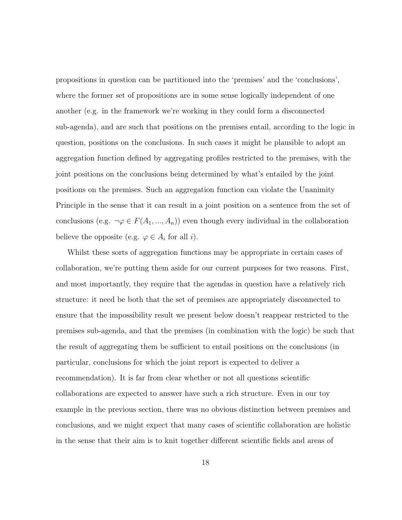propositions in question can be partitioned into the 'premises' and the 'conclusions', where the former set of propositions are in some sense logically independent of one another (e.g. in the framework we're working in they could form a disconnected sub-agenda), and are such that positions on the premises entail, according to the logic in question, positions on the conclusions. In such cases it might be plausible to adopt an aggregation function defined by aggregating profiles restricted to the premises, with the joint positions on the conclusions being determined by what's entailed by the joint positions on the premises. Such an aggregation function can violate the Unanimity Principle in the sense that it can result in a joint position on a sentence from the set of conclusions (e.g.  $\neg \varphi \in F(A_1, ..., A_n)$ ) even though every individual in the collaboration believe the opposite (e.g.  $\varphi \in A_i$  for all *i*).

Whilst these sorts of aggregation functions may be appropriate in certain cases of collaboration, we're putting them aside for our current purposes for two reasons. First, and most importantly, they require that the agendas in question have a relatively rich structure: it need be both that the set of premises are appropriately disconnected to ensure that the impossibility result we present below doesn't reappear restricted to the premises sub-agenda, and that the premises (in combination with the logic) be such that the result of aggregating them be sufficient to entail positions on the conclusions (in particular, conclusions for which the joint report is expected to deliver a recommendation). It is far from clear whether or not all questions scientific collaborations are expected to answer have such a rich structure. Even in our toy example in the previous section, there was no obvious distinction between premises and conclusions, and we might expect that many cases of scientific collaboration are holistic in the sense that their aim is to knit together different scientific fields and areas of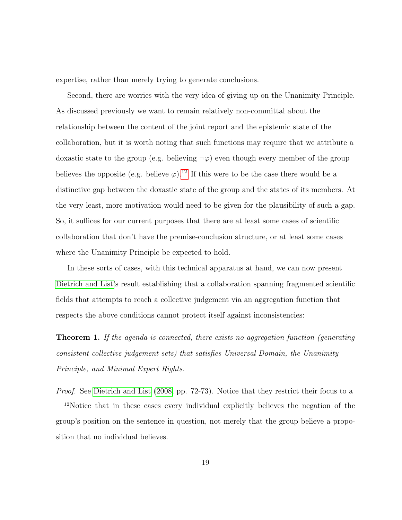expertise, rather than merely trying to generate conclusions.

Second, there are worries with the very idea of giving up on the Unanimity Principle. As discussed previously we want to remain relatively non-committal about the relationship between the content of the joint report and the epistemic state of the collaboration, but it is worth noting that such functions may require that we attribute a doxastic state to the group (e.g. believing  $\neg \varphi$ ) even though every member of the group believes the opposite (e.g. believe  $\varphi$ ).<sup>[12](#page-18-0)</sup> If this were to be the case there would be a distinctive gap between the doxastic state of the group and the states of its members. At the very least, more motivation would need to be given for the plausibility of such a gap. So, it suffices for our current purposes that there are at least some cases of scientific collaboration that don't have the premise-conclusion structure, or at least some cases where the Unanimity Principle be expected to hold.

In these sorts of cases, with this technical apparatus at hand, we can now present [Dietrich and List'](#page-37-0)s result establishing that a collaboration spanning fragmented scientific fields that attempts to reach a collective judgement via an aggregation function that respects the above conditions cannot protect itself against inconsistencies:

<span id="page-18-1"></span>**Theorem 1.** If the agenda is connected, there exists no aggregation function (generating consistent collective judgement sets) that satisfies Universal Domain, the Unanimity Principle, and Minimal Expert Rights.

<span id="page-18-0"></span>Proof. See [Dietrich and List](#page-37-0) [\(2008,](#page-37-0) pp. 72-73). Notice that they restrict their focus to a <sup>12</sup>Notice that in these cases every individual explicitly believes the negation of the group's position on the sentence in question, not merely that the group believe a proposition that no individual believes.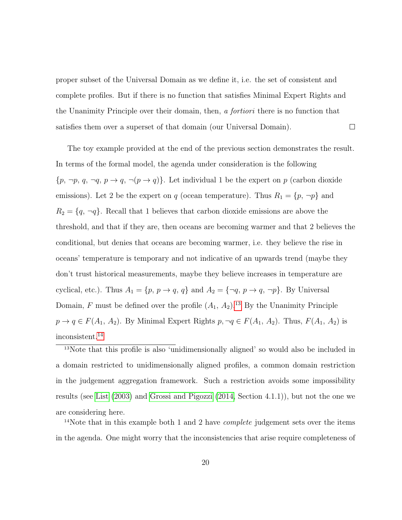proper subset of the Universal Domain as we define it, i.e. the set of consistent and complete profiles. But if there is no function that satisfies Minimal Expert Rights and the Unanimity Principle over their domain, then, a fortiori there is no function that satisfies them over a superset of that domain (our Universal Domain).  $\Box$ 

The toy example provided at the end of the previous section demonstrates the result. In terms of the formal model, the agenda under consideration is the following  $\{p, \neg p, q, \neg q, p \rightarrow q, \neg (p \rightarrow q)\}\.$  Let individual 1 be the expert on p (carbon dioxide emissions). Let 2 be the expert on q (ocean temperature). Thus  $R_1 = \{p, \neg p\}$  and  $R_2 = \{q, \neg q\}$ . Recall that 1 believes that carbon dioxide emissions are above the threshold, and that if they are, then oceans are becoming warmer and that 2 believes the conditional, but denies that oceans are becoming warmer, i.e. they believe the rise in oceans' temperature is temporary and not indicative of an upwards trend (maybe they don't trust historical measurements, maybe they believe increases in temperature are cyclical, etc.). Thus  $A_1 = \{p, p \to q, q\}$  and  $A_2 = \{\neg q, p \to q, \neg p\}$ . By Universal Domain, F must be defined over the profile  $(A_1, A_2)$ .<sup>[13](#page-19-0)</sup> By the Unanimity Principle  $p \to q \in F(A_1, A_2)$ . By Minimal Expert Rights  $p, \neg q \in F(A_1, A_2)$ . Thus,  $F(A_1, A_2)$  is inconsistent.[14](#page-19-1)

<span id="page-19-0"></span><sup>13</sup>Note that this profile is also 'unidimensionally aligned' so would also be included in a domain restricted to unidimensionally aligned profiles, a common domain restriction in the judgement aggregation framework. Such a restriction avoids some impossibility results (see [List](#page-38-4) [\(2003\)](#page-38-4) and [Grossi and Pigozzi](#page-38-2) [\(2014,](#page-38-2) Section 4.1.1)), but not the one we are considering here.

<span id="page-19-1"></span><sup>14</sup>Note that in this example both 1 and 2 have *complete* judgement sets over the items in the agenda. One might worry that the inconsistencies that arise require completeness of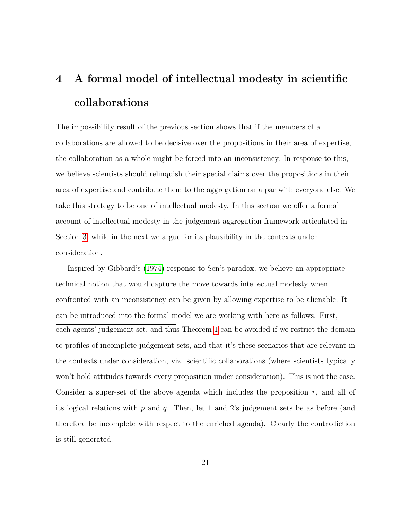# <span id="page-20-0"></span>4 A formal model of intellectual modesty in scientific collaborations

The impossibility result of the previous section shows that if the members of a collaborations are allowed to be decisive over the propositions in their area of expertise, the collaboration as a whole might be forced into an inconsistency. In response to this, we believe scientists should relinquish their special claims over the propositions in their area of expertise and contribute them to the aggregation on a par with everyone else. We take this strategy to be one of intellectual modesty. In this section we offer a formal account of intellectual modesty in the judgement aggregation framework articulated in Section [3,](#page-11-0) while in the next we argue for its plausibility in the contexts under consideration.

Inspired by Gibbard's [\(1974\)](#page-37-1) response to Sen's paradox, we believe an appropriate technical notion that would capture the move towards intellectual modesty when confronted with an inconsistency can be given by allowing expertise to be alienable. It can be introduced into the formal model we are working with here as follows. First, each agents' judgement set, and thus Theorem [1](#page-18-1) can be avoided if we restrict the domain to profiles of incomplete judgement sets, and that it's these scenarios that are relevant in the contexts under consideration, viz. scientific collaborations (where scientists typically won't hold attitudes towards every proposition under consideration). This is not the case. Consider a super-set of the above agenda which includes the proposition  $r$ , and all of its logical relations with  $p$  and  $q$ . Then, let 1 and 2's judgement sets be as before (and therefore be incomplete with respect to the enriched agenda). Clearly the contradiction is still generated.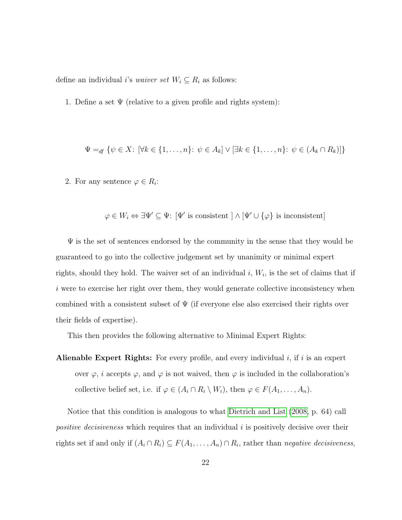define an individual *i*'s *waiver set*  $W_i \subseteq R_i$  as follows:

1. Define a set  $\Psi$  (relative to a given profile and rights system):

$$
\Psi =_{df} \{ \psi \in X \colon [\forall k \in \{1, ..., n\} \colon \psi \in A_k] \lor [\exists k \in \{1, ..., n\} \colon \psi \in (A_k \cap R_k)] \}
$$

2. For any sentence  $\varphi \in R_i$ :

$$
\varphi \in W_i \Leftrightarrow \exists \Psi' \subseteq \Psi
$$
: [ $\Psi'$  is consistent ]  $\wedge$  [ $\Psi' \cup \{\varphi\}$  is inconsistent]

 $\Psi$  is the set of sentences endorsed by the community in the sense that they would be guaranteed to go into the collective judgement set by unanimity or minimal expert rights, should they hold. The waiver set of an individual  $i, W_i$ , is the set of claims that if i were to exercise her right over them, they would generate collective inconsistency when combined with a consistent subset of  $\Psi$  (if everyone else also exercised their rights over their fields of expertise).

This then provides the following alternative to Minimal Expert Rights:

Alienable Expert Rights: For every profile, and every individual  $i$ , if  $i$  is an expert over  $\varphi$ , i accepts  $\varphi$ , and  $\varphi$  is not waived, then  $\varphi$  is included in the collaboration's collective belief set, i.e. if  $\varphi \in (A_i \cap R_i \setminus W_i)$ , then  $\varphi \in F(A_1, \ldots, A_n)$ .

Notice that this condition is analogous to what [Dietrich and List](#page-37-0) [\(2008,](#page-37-0) p. 64) call *positive decisiveness* which requires that an individual  $i$  is positively decisive over their rights set if and only if  $(A_i \cap R_i) \subseteq F(A_1, \ldots, A_n) \cap R_i$ , rather than *negative decisiveness*,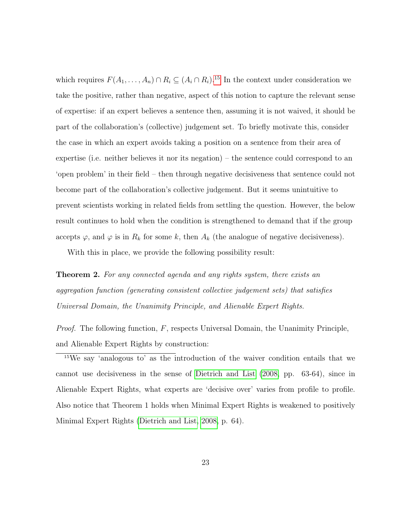which requires  $F(A_1, \ldots, A_n) \cap R_i \subseteq (A_i \cap R_i)$ .<sup>[15](#page-22-0)</sup> In the context under consideration we take the positive, rather than negative, aspect of this notion to capture the relevant sense of expertise: if an expert believes a sentence then, assuming it is not waived, it should be part of the collaboration's (collective) judgement set. To briefly motivate this, consider the case in which an expert avoids taking a position on a sentence from their area of expertise (i.e. neither believes it nor its negation) – the sentence could correspond to an 'open problem' in their field – then through negative decisiveness that sentence could not become part of the collaboration's collective judgement. But it seems unintuitive to prevent scientists working in related fields from settling the question. However, the below result continues to hold when the condition is strengthened to demand that if the group accepts  $\varphi$ , and  $\varphi$  is in  $R_k$  for some k, then  $A_k$  (the analogue of negative decisiveness).

With this in place, we provide the following possibility result:

**Theorem 2.** For any connected agenda and any rights system, there exists an aggregation function (generating consistent collective judgement sets) that satisfies Universal Domain, the Unanimity Principle, and Alienable Expert Rights.

*Proof.* The following function,  $F$ , respects Universal Domain, the Unanimity Principle, and Alienable Expert Rights by construction:

<span id="page-22-0"></span><sup>15</sup>We say 'analogous to' as the introduction of the waiver condition entails that we cannot use decisiveness in the sense of [Dietrich and List](#page-37-0) [\(2008,](#page-37-0) pp. 63-64), since in Alienable Expert Rights, what experts are 'decisive over' varies from profile to profile. Also notice that Theorem 1 holds when Minimal Expert Rights is weakened to positively Minimal Expert Rights [\(Dietrich and List, 2008,](#page-37-0) p. 64).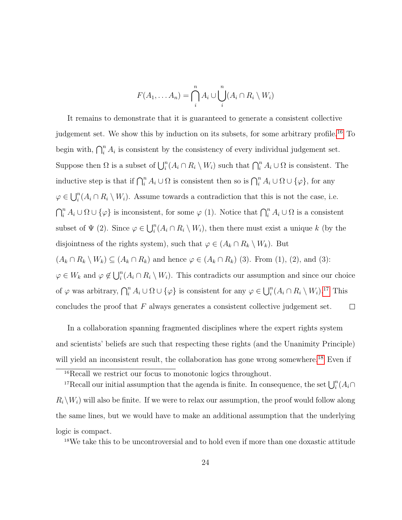$$
F(A_1, \ldots, A_n) = \bigcap_{i=1}^{n} A_i \cup \bigcup_{i=1}^{n} (A_i \cap R_i \setminus W_i)
$$

It remains to demonstrate that it is guaranteed to generate a consistent collective judgement set. We show this by induction on its subsets, for some arbitrary profile.<sup>[16](#page-23-1)</sup> To begin with,  $\bigcap_{i=1}^{n} A_i$  is consistent by the consistency of every individual judgement set. Suppose then  $\Omega$  is a subset of  $\bigcup_i^n (A_i \cap R_i \setminus W_i)$  such that  $\bigcap_i^n A_i \cup \Omega$  is consistent. The inductive step is that if  $\bigcap_{i=1}^{n} A_i \cup \Omega$  is consistent then so is  $\bigcap_{i=1}^{n} A_i \cup \Omega \cup \{\varphi\}$ , for any  $\varphi \in \bigcup_i^n (A_i \cap R_i \setminus W_i)$ . Assume towards a contradiction that this is not the case, i.e.  $\bigcap_{i=1}^{n} A_i \cup \Omega \cup \{\varphi\}$  is inconsistent, for some  $\varphi$  (1). Notice that  $\bigcap_{i=1}^{n} A_i \cup \Omega$  is a consistent subset of  $\Psi$  (2). Since  $\varphi \in \bigcup_i^n (A_i \cap R_i \setminus W_i)$ , then there must exist a unique k (by the disjointness of the rights system), such that  $\varphi \in (A_k \cap R_k \setminus W_k)$ . But  $(A_k \cap R_k \setminus W_k) \subseteq (A_k \cap R_k)$  and hence  $\varphi \in (A_k \cap R_k)$  (3). From (1), (2), and (3):  $\varphi \in W_k$  and  $\varphi \notin \bigcup_i^n (A_i \cap R_i \setminus W_i)$ . This contradicts our assumption and since our choice of  $\varphi$  was arbitrary,  $\bigcap_{i=1}^{n} A_i \cup \Omega \cup \{\varphi\}$  is consistent for any  $\varphi \in \bigcup_{i=1}^{n} (A_i \cap R_i \setminus W_i).$ <sup>[17](#page-23-0)</sup> This

concludes the proof that  $F$  always generates a consistent collective judgement set.  $\Box$ 

In a collaboration spanning fragmented disciplines where the expert rights system and scientists' beliefs are such that respecting these rights (and the Unanimity Principle) will yield an inconsistent result, the collaboration has gone wrong somewhere.<sup>[18](#page-23-2)</sup> Even if

<span id="page-23-2"></span><sup>18</sup>We take this to be uncontroversial and to hold even if more than one doxastic attitude

<span id="page-23-1"></span><span id="page-23-0"></span><sup>&</sup>lt;sup>16</sup>Recall we restrict our focus to monotonic logics throughout.

<sup>&</sup>lt;sup>17</sup>Recall our initial assumption that the agenda is finite. In consequence, the set  $\bigcup_i^n (A_i \cap$  $R_i\setminus W_i$ ) will also be finite. If we were to relax our assumption, the proof would follow along the same lines, but we would have to make an additional assumption that the underlying logic is compact.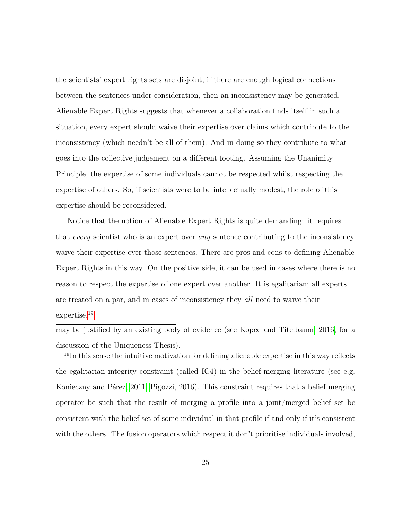the scientists' expert rights sets are disjoint, if there are enough logical connections between the sentences under consideration, then an inconsistency may be generated. Alienable Expert Rights suggests that whenever a collaboration finds itself in such a situation, every expert should waive their expertise over claims which contribute to the inconsistency (which needn't be all of them). And in doing so they contribute to what goes into the collective judgement on a different footing. Assuming the Unanimity Principle, the expertise of some individuals cannot be respected whilst respecting the expertise of others. So, if scientists were to be intellectually modest, the role of this expertise should be reconsidered.

Notice that the notion of Alienable Expert Rights is quite demanding: it requires that *every* scientist who is an expert over *any* sentence contributing to the inconsistency waive their expertise over those sentences. There are pros and cons to defining Alienable Expert Rights in this way. On the positive side, it can be used in cases where there is no reason to respect the expertise of one expert over another. It is egalitarian; all experts are treated on a par, and in cases of inconsistency they all need to waive their expertise.[19](#page-24-0)

may be justified by an existing body of evidence (see [Kopec and Titelbaum, 2016,](#page-38-5) for a discussion of the Uniqueness Thesis).

<span id="page-24-0"></span><sup>19</sup>In this sense the intuitive motivation for defining alienable expertise in this way reflects the egalitarian integrity constraint (called IC4) in the belief-merging literature (see e.g. [Konieczny and Pérez, 2011;](#page-38-3) [Pigozzi, 2016\)](#page-39-5). This constraint requires that a belief merging operator be such that the result of merging a profile into a joint/merged belief set be consistent with the belief set of some individual in that profile if and only if it's consistent with the others. The fusion operators which respect it don't prioritise individuals involved,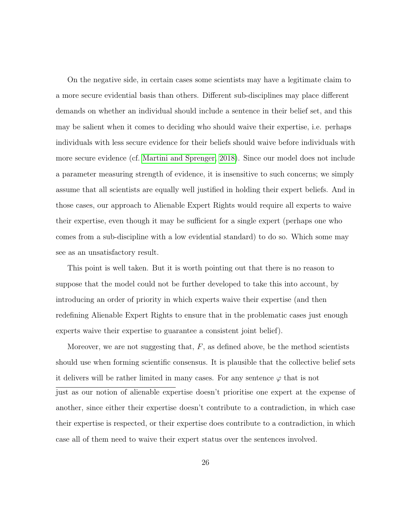On the negative side, in certain cases some scientists may have a legitimate claim to a more secure evidential basis than others. Different sub-disciplines may place different demands on whether an individual should include a sentence in their belief set, and this may be salient when it comes to deciding who should waive their expertise, i.e. perhaps individuals with less secure evidence for their beliefs should waive before individuals with more secure evidence (cf. [Martini and Sprenger, 2018\)](#page-39-3). Since our model does not include a parameter measuring strength of evidence, it is insensitive to such concerns; we simply assume that all scientists are equally well justified in holding their expert beliefs. And in those cases, our approach to Alienable Expert Rights would require all experts to waive their expertise, even though it may be sufficient for a single expert (perhaps one who comes from a sub-discipline with a low evidential standard) to do so. Which some may see as an unsatisfactory result.

This point is well taken. But it is worth pointing out that there is no reason to suppose that the model could not be further developed to take this into account, by introducing an order of priority in which experts waive their expertise (and then redefining Alienable Expert Rights to ensure that in the problematic cases just enough experts waive their expertise to guarantee a consistent joint belief).

Moreover, we are not suggesting that,  $F$ , as defined above, be the method scientists should use when forming scientific consensus. It is plausible that the collective belief sets it delivers will be rather limited in many cases. For any sentence  $\varphi$  that is not just as our notion of alienable expertise doesn't prioritise one expert at the expense of another, since either their expertise doesn't contribute to a contradiction, in which case their expertise is respected, or their expertise does contribute to a contradiction, in which case all of them need to waive their expert status over the sentences involved.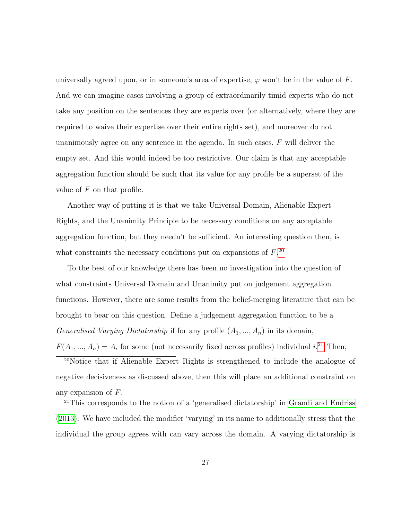universally agreed upon, or in someone's area of expertise,  $\varphi$  won't be in the value of F. And we can imagine cases involving a group of extraordinarily timid experts who do not take any position on the sentences they are experts over (or alternatively, where they are required to waive their expertise over their entire rights set), and moreover do not unanimously agree on any sentence in the agenda. In such cases,  $F$  will deliver the empty set. And this would indeed be too restrictive. Our claim is that any acceptable aggregation function should be such that its value for any profile be a superset of the value of  $F$  on that profile.

Another way of putting it is that we take Universal Domain, Alienable Expert Rights, and the Unanimity Principle to be necessary conditions on any acceptable aggregation function, but they needn't be sufficient. An interesting question then, is what constraints the necessary conditions put on expansions of  $F^{20}$  $F^{20}$  $F^{20}$ .

To the best of our knowledge there has been no investigation into the question of what constraints Universal Domain and Unanimity put on judgement aggregation functions. However, there are some results from the belief-merging literature that can be brought to bear on this question. Define a judgement aggregation function to be a Generalised Varying Dictatorship if for any profile  $(A_1, ..., A_n)$  in its domain,  $F(A_1, ..., A_n) = A_i$  for some (not necessarily fixed across profiles) individual i.<sup>[21](#page-26-1)</sup> Then,

<span id="page-26-0"></span><sup>20</sup>Notice that if Alienable Expert Rights is strengthened to include the analogue of

negative decisiveness as discussed above, then this will place an additional constraint on any expansion of F.

<span id="page-26-1"></span><sup>21</sup>This corresponds to the notion of a 'generalised dictatorship' in [Grandi and Endriss](#page-38-6) [\(2013\)](#page-38-6). We have included the modifier 'varying' in its name to additionally stress that the individual the group agrees with can vary across the domain. A varying dictatorship is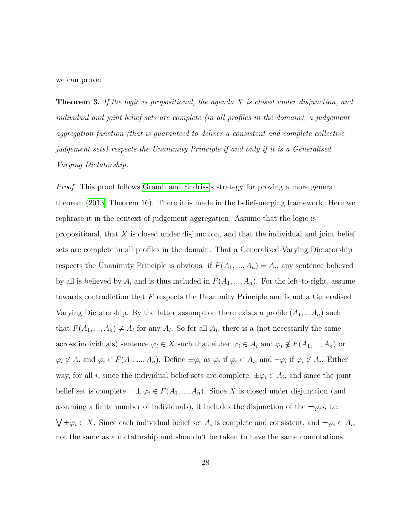we can prove:

**Theorem 3.** If the logic is propositional, the agenda  $X$  is closed under disjunction, and individual and joint belief sets are complete (in all profiles in the domain), a judgement aggregation function (that is guaranteed to deliver a consistent and complete collective judgement sets) respects the Unanimity Principle if and only if it is a Generalised Varying Dictatorship.

Proof. This proof follows [Grandi and Endriss'](#page-38-6)s strategy for proving a more general theorem [\(2013,](#page-38-6) Theorem 16). There it is made in the belief-merging framework. Here we rephrase it in the context of judgement aggregation. Assume that the logic is propositional, that  $X$  is closed under disjunction, and that the individual and joint belief sets are complete in all profiles in the domain. That a Generalised Varying Dictatorship respects the Unanimity Principle is obvious: if  $F(A_1, ..., A_n) = A_i$ , any sentence believed by all is believed by  $A_i$  and is thus included in  $F(A_1, ..., A_n)$ . For the left-to-right, assume towards contradiction that F respects the Unanimity Principle and is not a Generalised Varying Dictatorship. By the latter assumption there exists a profile  $(A_1, \ldots, A_n)$  such that  $F(A_1, ..., A_n) \neq A_i$  for any  $A_i$ . So for all  $A_i$ , there is a (not necessarily the same across individuals) sentence  $\varphi_i \in X$  such that either  $\varphi_i \in A_i$  and  $\varphi_i \notin F(A_1, ..., A_n)$  or  $\varphi_i \notin A_i$  and  $\varphi_i \in F(A_1, ..., A_n)$ . Define  $\pm \varphi_i$  as  $\varphi_i$  if  $\varphi_i \in A_i$ , and  $\neg \varphi_i$  if  $\varphi_i \notin A_i$ . Either way, for all *i*, since the individual belief sets are complete,  $\pm \varphi_i \in A_i$ , and since the joint belief set is complete  $\neg \pm \varphi_i \in F(A_1, ..., A_n)$ . Since X is closed under disjunction (and assuming a finite number of individuals), it includes the disjunction of the  $\pm \varphi_i$ s, i.e.  $\bigvee \pm \varphi_i \in X$ . Since each individual belief set  $A_i$  is complete and consistent, and  $\pm \varphi_i \in A_i$ , not the same as a dictatorship and shouldn't be taken to have the same connotations.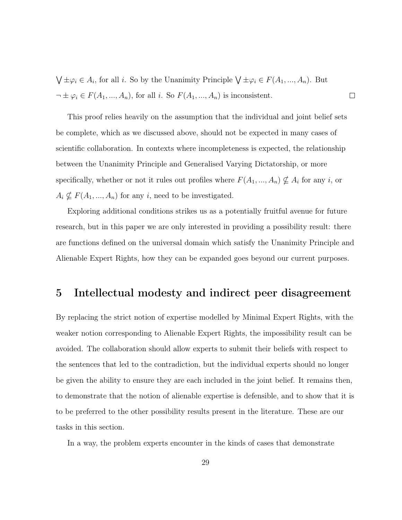$\bigvee \pm \varphi_i \in A_i$ , for all *i*. So by the Unanimity Principle  $\bigvee \pm \varphi_i \in F(A_1, ..., A_n)$ . But  $\neg \pm \varphi_i \in F(A_1, ..., A_n)$ , for all *i*. So  $F(A_1, ..., A_n)$  is inconsistent.  $\Box$ 

This proof relies heavily on the assumption that the individual and joint belief sets be complete, which as we discussed above, should not be expected in many cases of scientific collaboration. In contexts where incompleteness is expected, the relationship between the Unanimity Principle and Generalised Varying Dictatorship, or more specifically, whether or not it rules out profiles where  $F(A_1, ..., A_n) \nsubseteq A_i$  for any i, or  $A_i \nsubseteq F(A_1, ..., A_n)$  for any *i*, need to be investigated.

Exploring additional conditions strikes us as a potentially fruitful avenue for future research, but in this paper we are only interested in providing a possibility result: there are functions defined on the universal domain which satisfy the Unanimity Principle and Alienable Expert Rights, how they can be expanded goes beyond our current purposes.

### <span id="page-28-0"></span>5 Intellectual modesty and indirect peer disagreement

By replacing the strict notion of expertise modelled by Minimal Expert Rights, with the weaker notion corresponding to Alienable Expert Rights, the impossibility result can be avoided. The collaboration should allow experts to submit their beliefs with respect to the sentences that led to the contradiction, but the individual experts should no longer be given the ability to ensure they are each included in the joint belief. It remains then, to demonstrate that the notion of alienable expertise is defensible, and to show that it is to be preferred to the other possibility results present in the literature. These are our tasks in this section.

In a way, the problem experts encounter in the kinds of cases that demonstrate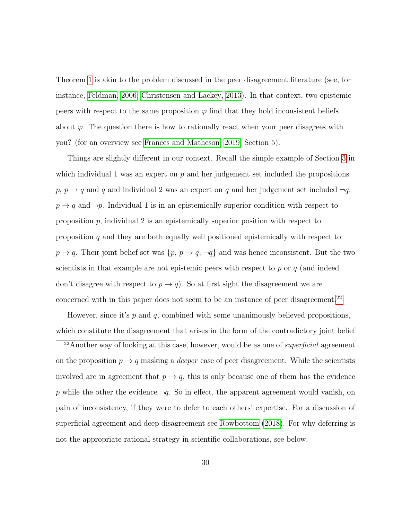Theorem [1](#page-18-1) is akin to the problem discussed in the peer disagreement literature (see, for instance, [Feldman, 2006;](#page-37-6) [Christensen and Lackey, 2013\)](#page-36-7). In that context, two epistemic peers with respect to the same proposition  $\varphi$  find that they hold inconsistent beliefs about  $\varphi$ . The question there is how to rationally react when your peer disagrees with you? (for an overview see [Frances and Matheson, 2019,](#page-37-7) Section 5).

Things are slightly different in our context. Recall the simple example of Section [3](#page-11-0) in which individual 1 was an expert on  $p$  and her judgement set included the propositions  $p, p \rightarrow q$  and q and individual 2 was an expert on q and her judgement set included  $\neg q$ ,  $p \rightarrow q$  and  $\neg p$ . Individual 1 is in an epistemically superior condition with respect to proposition  $p$ , individual 2 is an epistemically superior position with respect to proposition  $q$  and they are both equally well positioned epistemically with respect to  $p \to q$ . Their joint belief set was  $\{p, p \to q, \neg q\}$  and was hence inconsistent. But the two scientists in that example are not epistemic peers with respect to  $p$  or  $q$  (and indeed don't disagree with respect to  $p \to q$ ). So at first sight the disagreement we are concerned with in this paper does not seem to be an instance of peer disagreement.<sup>[22](#page-29-0)</sup>

However, since it's p and q, combined with some unanimously believed propositions, which constitute the disagreement that arises in the form of the contradictory joint belief

<span id="page-29-0"></span><sup>&</sup>lt;sup>22</sup>Another way of looking at this case, however, would be as one of *superficial* agreement on the proposition  $p \to q$  masking a *deeper* case of peer disagreement. While the scientists involved are in agreement that  $p \to q$ , this is only because one of them has the evidence p while the other the evidence  $\neg q$ . So in effect, the apparent agreement would vanish, on pain of inconsistency, if they were to defer to each others' expertise. For a discussion of superficial agreement and deep disagreement see [Rowbottom](#page-39-7) [\(2018\)](#page-39-7). For why deferring is not the appropriate rational strategy in scientific collaborations, see below.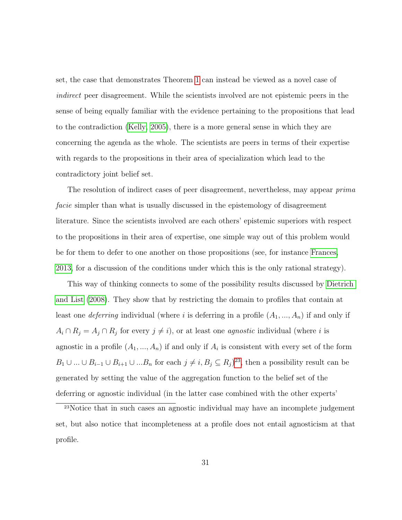set, the case that demonstrates Theorem [1](#page-18-1) can instead be viewed as a novel case of indirect peer disagreement. While the scientists involved are not epistemic peers in the sense of being equally familiar with the evidence pertaining to the propositions that lead to the contradiction [\(Kelly, 2005\)](#page-38-7), there is a more general sense in which they are concerning the agenda as the whole. The scientists are peers in terms of their expertise with regards to the propositions in their area of specialization which lead to the contradictory joint belief set.

The resolution of indirect cases of peer disagreement, nevertheless, may appear *prima* facie simpler than what is usually discussed in the epistemology of disagreement literature. Since the scientists involved are each others' epistemic superiors with respect to the propositions in their area of expertise, one simple way out of this problem would be for them to defer to one another on those propositions (see, for instance [Frances,](#page-37-8) [2013,](#page-37-8) for a discussion of the conditions under which this is the only rational strategy).

This way of thinking connects to some of the possibility results discussed by [Dietrich](#page-37-0) [and List](#page-37-0) [\(2008\)](#page-37-0). They show that by restricting the domain to profiles that contain at least one *deferring* individual (where i is deferring in a profile  $(A_1, ..., A_n)$  if and only if  $A_i \cap R_j = A_j \cap R_j$  for every  $j \neq i$ , or at least one *agnostic* individual (where i is agnostic in a profile  $(A_1, ..., A_n)$  if and only if  $A_i$  is consistent with every set of the form  $B_1 \cup ... \cup B_{i-1} \cup B_{i+1} \cup ... B_n$  for each  $j \neq i, B_j \subseteq R_j$ <sup>[23](#page-30-0)</sup>, then a possibility result can be generated by setting the value of the aggregation function to the belief set of the deferring or agnostic individual (in the latter case combined with the other experts'

<span id="page-30-0"></span><sup>23</sup>Notice that in such cases an agnostic individual may have an incomplete judgement set, but also notice that incompleteness at a profile does not entail agnosticism at that profile.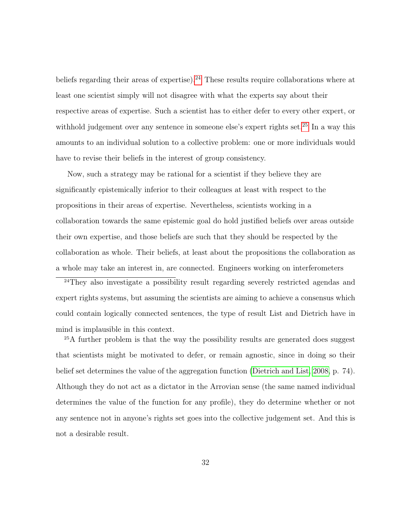beliefs regarding their areas of expertise).<sup>[24](#page-31-0)</sup> These results require collaborations where at least one scientist simply will not disagree with what the experts say about their respective areas of expertise. Such a scientist has to either defer to every other expert, or withhold judgement over any sentence in someone else's expert rights set.<sup>[25](#page-31-1)</sup> In a way this amounts to an individual solution to a collective problem: one or more individuals would have to revise their beliefs in the interest of group consistency.

Now, such a strategy may be rational for a scientist if they believe they are significantly epistemically inferior to their colleagues at least with respect to the propositions in their areas of expertise. Nevertheless, scientists working in a collaboration towards the same epistemic goal do hold justified beliefs over areas outside their own expertise, and those beliefs are such that they should be respected by the collaboration as whole. Their beliefs, at least about the propositions the collaboration as a whole may take an interest in, are connected. Engineers working on interferometers

<span id="page-31-0"></span><sup>24</sup>They also investigate a possibility result regarding severely restricted agendas and expert rights systems, but assuming the scientists are aiming to achieve a consensus which could contain logically connected sentences, the type of result List and Dietrich have in mind is implausible in this context.

<span id="page-31-1"></span><sup>25</sup>A further problem is that the way the possibility results are generated does suggest that scientists might be motivated to defer, or remain agnostic, since in doing so their belief set determines the value of the aggregation function [\(Dietrich and List, 2008,](#page-37-0) p. 74). Although they do not act as a dictator in the Arrovian sense (the same named individual determines the value of the function for any profile), they do determine whether or not any sentence not in anyone's rights set goes into the collective judgement set. And this is not a desirable result.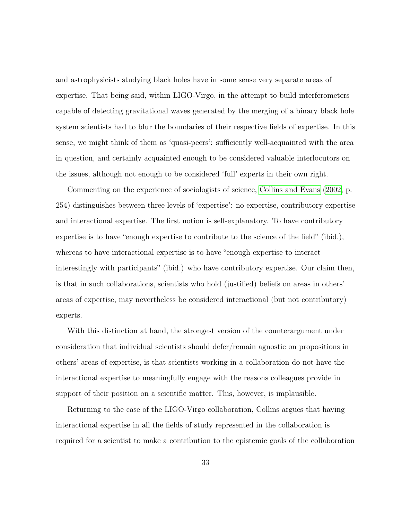and astrophysicists studying black holes have in some sense very separate areas of expertise. That being said, within LIGO-Virgo, in the attempt to build interferometers capable of detecting gravitational waves generated by the merging of a binary black hole system scientists had to blur the boundaries of their respective fields of expertise. In this sense, we might think of them as 'quasi-peers': sufficiently well-acquainted with the area in question, and certainly acquainted enough to be considered valuable interlocutors on the issues, although not enough to be considered 'full' experts in their own right.

Commenting on the experience of sociologists of science, [Collins and Evans](#page-36-8) [\(2002,](#page-36-8) p. 254) distinguishes between three levels of 'expertise': no expertise, contributory expertise and interactional expertise. The first notion is self-explanatory. To have contributory expertise is to have "enough expertise to contribute to the science of the field" (ibid.), whereas to have interactional expertise is to have "enough expertise to interact interestingly with participants" (ibid.) who have contributory expertise. Our claim then, is that in such collaborations, scientists who hold (justified) beliefs on areas in others' areas of expertise, may nevertheless be considered interactional (but not contributory) experts.

With this distinction at hand, the strongest version of the counterargument under consideration that individual scientists should defer/remain agnostic on propositions in others' areas of expertise, is that scientists working in a collaboration do not have the interactional expertise to meaningfully engage with the reasons colleagues provide in support of their position on a scientific matter. This, however, is implausible.

Returning to the case of the LIGO-Virgo collaboration, Collins argues that having interactional expertise in all the fields of study represented in the collaboration is required for a scientist to make a contribution to the epistemic goals of the collaboration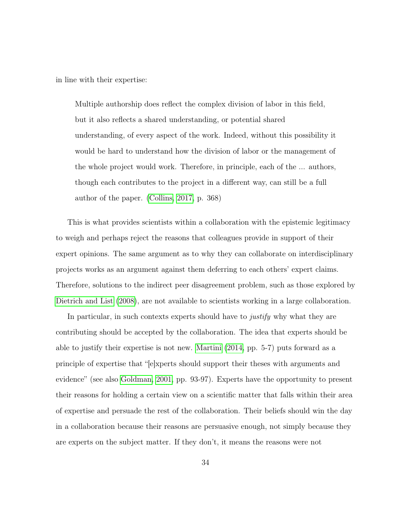in line with their expertise:

Multiple authorship does reflect the complex division of labor in this field, but it also reflects a shared understanding, or potential shared understanding, of every aspect of the work. Indeed, without this possibility it would be hard to understand how the division of labor or the management of the whole project would work. Therefore, in principle, each of the ... authors, though each contributes to the project in a different way, can still be a full author of the paper. [\(Collins, 2017,](#page-36-9) p. 368)

This is what provides scientists within a collaboration with the epistemic legitimacy to weigh and perhaps reject the reasons that colleagues provide in support of their expert opinions. The same argument as to why they can collaborate on interdisciplinary projects works as an argument against them deferring to each others' expert claims. Therefore, solutions to the indirect peer disagreement problem, such as those explored by [Dietrich and List](#page-37-0) [\(2008\)](#page-37-0), are not available to scientists working in a large collaboration.

In particular, in such contexts experts should have to *justify* why what they are contributing should be accepted by the collaboration. The idea that experts should be able to justify their expertise is not new. [Martini](#page-39-8) [\(2014,](#page-39-8) pp. 5-7) puts forward as a principle of expertise that "[e]xperts should support their theses with arguments and evidence" (see also [Goldman, 2001,](#page-38-8) pp. 93-97). Experts have the opportunity to present their reasons for holding a certain view on a scientific matter that falls within their area of expertise and persuade the rest of the collaboration. Their beliefs should win the day in a collaboration because their reasons are persuasive enough, not simply because they are experts on the subject matter. If they don't, it means the reasons were not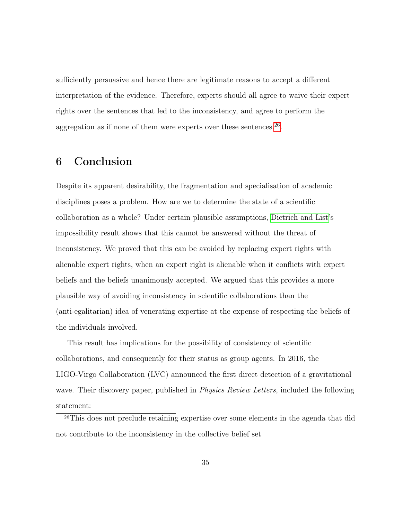sufficiently persuasive and hence there are legitimate reasons to accept a different interpretation of the evidence. Therefore, experts should all agree to waive their expert rights over the sentences that led to the inconsistency, and agree to perform the aggregation as if none of them were experts over these sentences. $26$ .

## 6 Conclusion

Despite its apparent desirability, the fragmentation and specialisation of academic disciplines poses a problem. How are we to determine the state of a scientific collaboration as a whole? Under certain plausible assumptions, [Dietrich and List'](#page-37-0)s impossibility result shows that this cannot be answered without the threat of inconsistency. We proved that this can be avoided by replacing expert rights with alienable expert rights, when an expert right is alienable when it conflicts with expert beliefs and the beliefs unanimously accepted. We argued that this provides a more plausible way of avoiding inconsistency in scientific collaborations than the (anti-egalitarian) idea of venerating expertise at the expense of respecting the beliefs of the individuals involved.

This result has implications for the possibility of consistency of scientific collaborations, and consequently for their status as group agents. In 2016, the LIGO-Virgo Collaboration (LVC) announced the first direct detection of a gravitational wave. Their discovery paper, published in *Physics Review Letters*, included the following statement:

<span id="page-34-0"></span><sup>26</sup>This does not preclude retaining expertise over some elements in the agenda that did not contribute to the inconsistency in the collective belief set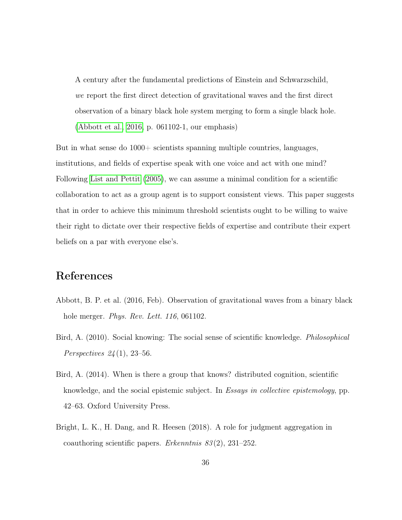A century after the fundamental predictions of Einstein and Schwarzschild, we report the first direct detection of gravitational waves and the first direct observation of a binary black hole system merging to form a single black hole. [\(Abbott et al., 2016,](#page-35-0) p. 061102-1, our emphasis)

But in what sense do 1000+ scientists spanning multiple countries, languages, institutions, and fields of expertise speak with one voice and act with one mind? Following [List and Pettit](#page-39-9) [\(2005\)](#page-39-9), we can assume a minimal condition for a scientific collaboration to act as a group agent is to support consistent views. This paper suggests that in order to achieve this minimum threshold scientists ought to be willing to waive their right to dictate over their respective fields of expertise and contribute their expert beliefs on a par with everyone else's.

## References

- <span id="page-35-0"></span>Abbott, B. P. et al. (2016, Feb). Observation of gravitational waves from a binary black hole merger. Phys. Rev. Lett. 116, 061102.
- <span id="page-35-1"></span>Bird, A. (2010). Social knowing: The social sense of scientific knowledge. *Philosophical Perspectives*  $24(1)$ , 23-56.
- <span id="page-35-2"></span>Bird, A. (2014). When is there a group that knows? distributed cognition, scientific knowledge, and the social epistemic subject. In Essays in collective epistemology, pp. 42–63. Oxford University Press.
- <span id="page-35-3"></span>Bright, L. K., H. Dang, and R. Heesen (2018). A role for judgment aggregation in coauthoring scientific papers. Erkenntnis  $83(2)$ , 231–252.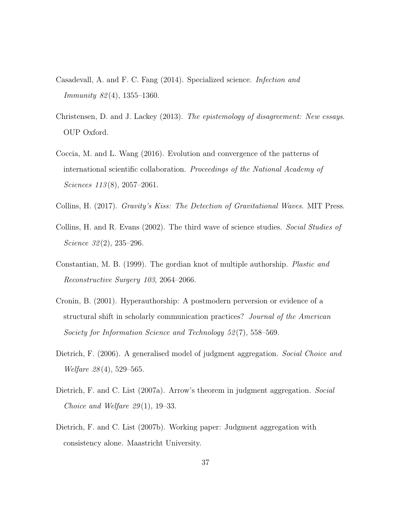- <span id="page-36-3"></span>Casadevall, A. and F. C. Fang (2014). Specialized science. Infection and Immunity 82 (4), 1355–1360.
- <span id="page-36-7"></span>Christensen, D. and J. Lackey (2013). The epistemology of disagreement: New essays. OUP Oxford.
- <span id="page-36-2"></span>Coccia, M. and L. Wang (2016). Evolution and convergence of the patterns of international scientific collaboration. Proceedings of the National Academy of Sciences 113(8), 2057–2061.
- <span id="page-36-9"></span>Collins, H. (2017). Gravity's Kiss: The Detection of Gravitational Waves. MIT Press.
- <span id="page-36-8"></span>Collins, H. and R. Evans (2002). The third wave of science studies. Social Studies of Science  $32(2)$ ,  $235-296$ .
- <span id="page-36-1"></span>Constantian, M. B. (1999). The gordian knot of multiple authorship. Plastic and Reconstructive Surgery 103, 2064–2066.
- <span id="page-36-0"></span>Cronin, B. (2001). Hyperauthorship: A postmodern perversion or evidence of a structural shift in scholarly communication practices? Journal of the American Society for Information Science and Technology 52 (7), 558–569.
- <span id="page-36-4"></span>Dietrich, F. (2006). A generalised model of judgment aggregation. Social Choice and Welfare 28 (4), 529–565.
- <span id="page-36-5"></span>Dietrich, F. and C. List (2007a). Arrow's theorem in judgment aggregation. Social Choice and Welfare  $29(1)$ , 19–33.
- <span id="page-36-6"></span>Dietrich, F. and C. List (2007b). Working paper: Judgment aggregation with consistency alone. Maastricht University.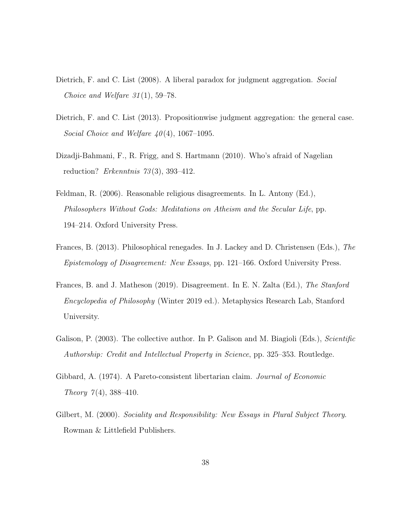- <span id="page-37-0"></span>Dietrich, F. and C. List (2008). A liberal paradox for judgment aggregation. Social Choice and Welfare  $31(1)$ , 59–78.
- <span id="page-37-4"></span>Dietrich, F. and C. List (2013). Propositionwise judgment aggregation: the general case. Social Choice and Welfare  $40(4)$ , 1067–1095.
- <span id="page-37-5"></span>Dizadji-Bahmani, F., R. Frigg, and S. Hartmann (2010). Who's afraid of Nagelian reduction? Erkenntnis  $73(3)$ , 393-412.
- <span id="page-37-6"></span>Feldman, R. (2006). Reasonable religious disagreements. In L. Antony (Ed.), Philosophers Without Gods: Meditations on Atheism and the Secular Life, pp. 194–214. Oxford University Press.
- <span id="page-37-8"></span>Frances, B. (2013). Philosophical renegades. In J. Lackey and D. Christensen (Eds.), The Epistemology of Disagreement: New Essays, pp. 121–166. Oxford University Press.
- <span id="page-37-7"></span>Frances, B. and J. Matheson (2019). Disagreement. In E. N. Zalta (Ed.), The Stanford Encyclopedia of Philosophy (Winter 2019 ed.). Metaphysics Research Lab, Stanford University.
- <span id="page-37-2"></span>Galison, P. (2003). The collective author. In P. Galison and M. Biagioli (Eds.), *Scientific* Authorship: Credit and Intellectual Property in Science, pp. 325–353. Routledge.
- <span id="page-37-1"></span>Gibbard, A. (1974). A Pareto-consistent libertarian claim. Journal of Economic Theory  $7(4)$ , 388-410.
- <span id="page-37-3"></span>Gilbert, M. (2000). Sociality and Responsibility: New Essays in Plural Subject Theory. Rowman & Littlefield Publishers.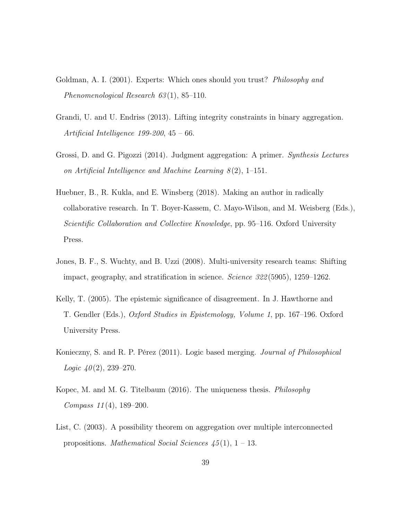- <span id="page-38-8"></span>Goldman, A. I. (2001). Experts: Which ones should you trust? *Philosophy and* Phenomenological Research 63(1), 85-110.
- <span id="page-38-6"></span>Grandi, U. and U. Endriss (2013). Lifting integrity constraints in binary aggregation. Artificial Intelligence 199-200, 45 – 66.
- <span id="page-38-2"></span>Grossi, D. and G. Pigozzi (2014). Judgment aggregation: A primer. Synthesis Lectures on Artificial Intelligence and Machine Learning  $8(2)$ , 1–151.
- <span id="page-38-1"></span>Huebner, B., R. Kukla, and E. Winsberg (2018). Making an author in radically collaborative research. In T. Boyer-Kassem, C. Mayo-Wilson, and M. Weisberg (Eds.), Scientific Collaboration and Collective Knowledge, pp. 95–116. Oxford University Press.
- <span id="page-38-0"></span>Jones, B. F., S. Wuchty, and B. Uzzi (2008). Multi-university research teams: Shifting impact, geography, and stratification in science. Science 322 (5905), 1259–1262.
- <span id="page-38-7"></span>Kelly, T. (2005). The epistemic significance of disagreement. In J. Hawthorne and T. Gendler (Eds.), Oxford Studies in Epistemology, Volume 1, pp. 167–196. Oxford University Press.
- <span id="page-38-3"></span>Konieczny, S. and R. P. Pérez (2011). Logic based merging. Journal of Philosophical Logic  $40(2)$ , 239-270.
- <span id="page-38-5"></span>Kopec, M. and M. G. Titelbaum (2016). The uniqueness thesis. Philosophy Compass 11 (4), 189–200.
- <span id="page-38-4"></span>List, C. (2003). A possibility theorem on aggregation over multiple interconnected propositions. *Mathematical Social Sciences*  $\frac{45}{11}$ , 1 – 13.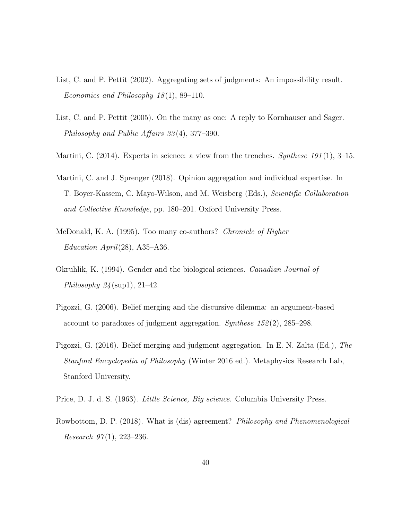- <span id="page-39-4"></span>List, C. and P. Pettit (2002). Aggregating sets of judgments: An impossibility result. Economics and Philosophy 18 (1), 89–110.
- <span id="page-39-9"></span>List, C. and P. Pettit (2005). On the many as one: A reply to Kornhauser and Sager. Philosophy and Public Affairs 33 (4), 377–390.
- <span id="page-39-8"></span>Martini, C. (2014). Experts in science: a view from the trenches. Synthese 191(1), 3-15.
- <span id="page-39-3"></span>Martini, C. and J. Sprenger (2018). Opinion aggregation and individual expertise. In T. Boyer-Kassem, C. Mayo-Wilson, and M. Weisberg (Eds.), Scientific Collaboration and Collective Knowledge, pp. 180–201. Oxford University Press.
- <span id="page-39-1"></span>McDonald, K. A. (1995). Too many co-authors? Chronicle of Higher Education April(28), A35–A36.
- <span id="page-39-2"></span>Okruhlik, K. (1994). Gender and the biological sciences. Canadian Journal of Philosophy  $24 \text{(sup1)}, 21-42$ .
- <span id="page-39-6"></span>Pigozzi, G. (2006). Belief merging and the discursive dilemma: an argument-based account to paradoxes of judgment aggregation. Synthese  $152(2)$ , 285–298.
- <span id="page-39-5"></span>Pigozzi, G. (2016). Belief merging and judgment aggregation. In E. N. Zalta (Ed.), The Stanford Encyclopedia of Philosophy (Winter 2016 ed.). Metaphysics Research Lab, Stanford University.
- <span id="page-39-0"></span>Price, D. J. d. S. (1963). Little Science, Big science. Columbia University Press.
- <span id="page-39-7"></span>Rowbottom, D. P. (2018). What is (dis) agreement? Philosophy and Phenomenological Research  $97(1)$ , 223-236.